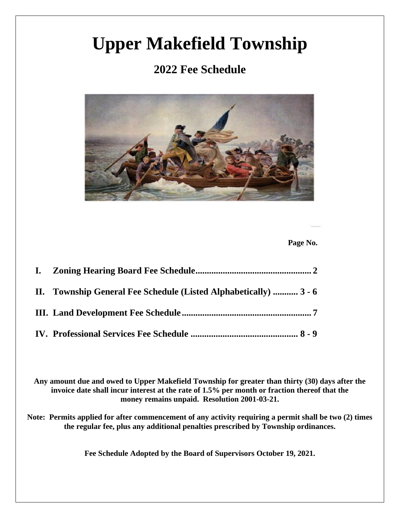# **Upper Makefield Township**

## **2022 Fee Schedule**



 **Page No.**

| II. Township General Fee Schedule (Listed Alphabetically)  3 - 6 |
|------------------------------------------------------------------|
|                                                                  |
|                                                                  |

**Any amount due and owed to Upper Makefield Township for greater than thirty (30) days after the invoice date shall incur interest at the rate of 1.5% per month or fraction thereof that the money remains unpaid. Resolution 2001-03-21.**

**Note: Permits applied for after commencement of any activity requiring a permit shall be two (2) times the regular fee, plus any additional penalties prescribed by Township ordinances.** 

**Fee Schedule Adopted by the Board of Supervisors October 19, 2021.**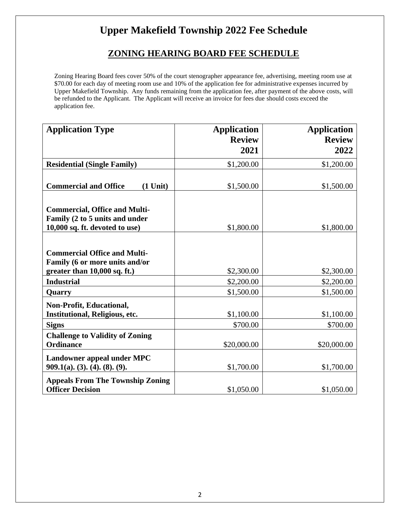## **Upper Makefield Township 2022 Fee Schedule**

### **ZONING HEARING BOARD FEE SCHEDULE**

Zoning Hearing Board fees cover 50% of the court stenographer appearance fee, advertising, meeting room use at \$70.00 for each day of meeting room use and 10% of the application fee for administrative expenses incurred by Upper Makefield Township. Any funds remaining from the application fee, after payment of the above costs, will be refunded to the Applicant. The Applicant will receive an invoice for fees due should costs exceed the application fee.

| <b>Application Type</b>                    | <b>Application</b> | <b>Application</b> |
|--------------------------------------------|--------------------|--------------------|
|                                            | <b>Review</b>      | <b>Review</b>      |
|                                            | 2021               | 2022               |
| <b>Residential (Single Family)</b>         | \$1,200.00         | \$1,200.00         |
|                                            |                    |                    |
| <b>Commercial and Office</b><br>$(1$ Unit) | \$1,500.00         | \$1,500.00         |
|                                            |                    |                    |
| <b>Commercial, Office and Multi-</b>       |                    |                    |
| Family (2 to 5 units and under             |                    |                    |
| 10,000 sq. ft. devoted to use)             | \$1,800.00         | \$1,800.00         |
|                                            |                    |                    |
| <b>Commercial Office and Multi-</b>        |                    |                    |
| Family (6 or more units and/or             |                    |                    |
| greater than 10,000 sq. ft.)               | \$2,300.00         | \$2,300.00         |
| <b>Industrial</b>                          | \$2,200.00         | \$2,200.00         |
| Quarry                                     | \$1,500.00         | \$1,500.00         |
| <b>Non-Profit, Educational,</b>            |                    |                    |
| Institutional, Religious, etc.             | \$1,100.00         | \$1,100.00         |
| <b>Signs</b>                               | \$700.00           | \$700.00           |
| <b>Challenge to Validity of Zoning</b>     |                    |                    |
| <b>Ordinance</b>                           | \$20,000.00        | \$20,000.00        |
| Landowner appeal under MPC                 |                    |                    |
| $909.1(a)$ , (3), (4), (8), (9),           | \$1,700.00         | \$1,700.00         |
| <b>Appeals From The Township Zoning</b>    |                    |                    |
| <b>Officer Decision</b>                    | \$1,050.00         | \$1,050.00         |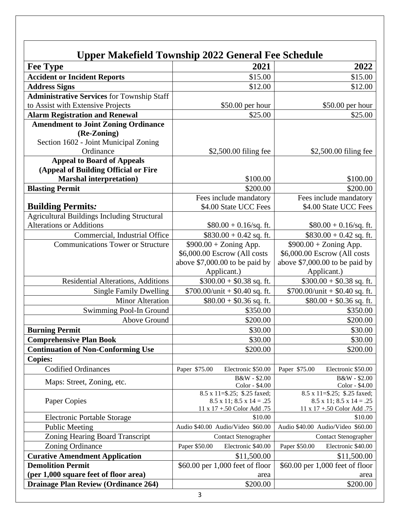|                                                                                                             | Upper Makefield Township 2022 General Fee Schedule                                                                 |                                                                                                       |
|-------------------------------------------------------------------------------------------------------------|--------------------------------------------------------------------------------------------------------------------|-------------------------------------------------------------------------------------------------------|
| <b>Fee Type</b>                                                                                             | 2021                                                                                                               | 2022                                                                                                  |
| <b>Accident or Incident Reports</b>                                                                         | \$15.00                                                                                                            | \$15.00                                                                                               |
| <b>Address Signs</b>                                                                                        | \$12.00                                                                                                            | \$12.00                                                                                               |
| <b>Administrative Services</b> for Township Staff                                                           |                                                                                                                    |                                                                                                       |
| to Assist with Extensive Projects                                                                           | \$50.00 per hour                                                                                                   | $$50.00$ per hour                                                                                     |
| <b>Alarm Registration and Renewal</b>                                                                       | \$25.00                                                                                                            | \$25.00                                                                                               |
| <b>Amendment to Joint Zoning Ordinance</b><br>(Re-Zoning)<br>Section 1602 - Joint Municipal Zoning          |                                                                                                                    |                                                                                                       |
| Ordinance                                                                                                   | \$2,500.00 filing fee                                                                                              | \$2,500.00 filing fee                                                                                 |
| <b>Appeal to Board of Appeals</b><br>(Appeal of Building Official or Fire<br><b>Marshal interpretation)</b> | \$100.00                                                                                                           | \$100.00                                                                                              |
| <b>Blasting Permit</b>                                                                                      | \$200.00                                                                                                           | \$200.00                                                                                              |
|                                                                                                             | Fees include mandatory                                                                                             | Fees include mandatory                                                                                |
| <b>Building Permits:</b>                                                                                    | \$4.00 State UCC Fees                                                                                              | \$4.00 State UCC Fees                                                                                 |
| <b>Agricultural Buildings Including Structural</b>                                                          |                                                                                                                    |                                                                                                       |
| <b>Alterations or Additions</b>                                                                             | $$80.00 + 0.16$ /sq. ft.                                                                                           | $$80.00 + 0.16$ /sq. ft.                                                                              |
| Commercial, Industrial Office                                                                               | $$830.00 + 0.42$ sq. ft.                                                                                           | $$830.00 + 0.42$ sq. ft.                                                                              |
| <b>Communications Tower or Structure</b>                                                                    | $$900.00 + Zoning App.$<br>\$6,000.00 Escrow (All costs<br>above $$7,000.00$ to be paid by                         | $$900.00 + Zoning App.$<br>\$6,000.00 Escrow (All costs<br>above $$7,000.00$ to be paid by            |
| Residential Alterations, Additions                                                                          | Applicant.)<br>$$300.00 + $0.38$ sq. ft.                                                                           | Applicant.)<br>$$300.00 + $0.38$ sq. ft.                                                              |
| <b>Single Family Dwelling</b>                                                                               | $$700.00/$ unit + \$0.40 sq. ft.                                                                                   | $$700.00/$ unit + \$0.40 sq. ft.                                                                      |
| <b>Minor Alteration</b>                                                                                     | $$80.00 + $0.36$ sq. ft.                                                                                           | $$80.00 + $0.36$ sq. ft.                                                                              |
| Swimming Pool-In Ground                                                                                     | \$350.00                                                                                                           | \$350.00                                                                                              |
| Above Ground                                                                                                | \$200.00                                                                                                           | \$200.00                                                                                              |
| <b>Burning Permit</b>                                                                                       | \$30.00                                                                                                            | \$30.00                                                                                               |
| <b>Comprehensive Plan Book</b>                                                                              | \$30.00                                                                                                            | \$30.00                                                                                               |
| <b>Continuation of Non-Conforming Use</b>                                                                   | \$200.00                                                                                                           | \$200.00                                                                                              |
| <b>Copies:</b>                                                                                              |                                                                                                                    |                                                                                                       |
| <b>Codified Ordinances</b>                                                                                  | Paper \$75.00<br>Electronic \$50.00                                                                                | Paper \$75.00<br>Electronic \$50.00                                                                   |
| Maps: Street, Zoning, etc.                                                                                  | B&W - \$2.00<br>Color - \$4.00                                                                                     | B&W - \$2.00<br>Color - \$4.00                                                                        |
| Paper Copies                                                                                                | $\overline{8.5}$ x 11=\$.25; \$.25 faxed;<br>$8.5 \times 11$ ; $8.5 \times 14 = .25$<br>11 x 17 +.50 Color Add .75 | 8.5 x 11=\$.25; \$.25 faxed;<br>$8.5 \times 11$ ; $8.5 \times 14 = .25$<br>11 x 17 +.50 Color Add .75 |
| <b>Electronic Portable Storage</b>                                                                          | \$10.00                                                                                                            | \$10.00                                                                                               |
| <b>Public Meeting</b>                                                                                       | Audio \$40.00 Audio/Video \$60.00                                                                                  | Audio \$40.00 Audio/Video \$60.00                                                                     |
| Zoning Hearing Board Transcript                                                                             | <b>Contact Stenographer</b>                                                                                        | <b>Contact Stenographer</b>                                                                           |
| Zoning Ordinance                                                                                            | Electronic \$40.00<br>Paper \$50.00                                                                                | Electronic \$40.00<br>Paper \$50.00                                                                   |
| <b>Curative Amendment Application</b>                                                                       | \$11,500.00                                                                                                        | \$11,500.00                                                                                           |
| <b>Demolition Permit</b>                                                                                    | \$60.00 per 1,000 feet of floor                                                                                    | \$60.00 per 1,000 feet of floor                                                                       |
| (per 1,000 square feet of floor area)                                                                       | area                                                                                                               | area                                                                                                  |
| <b>Drainage Plan Review (Ordinance 264)</b>                                                                 | \$200.00                                                                                                           | \$200.00                                                                                              |
|                                                                                                             | 3                                                                                                                  |                                                                                                       |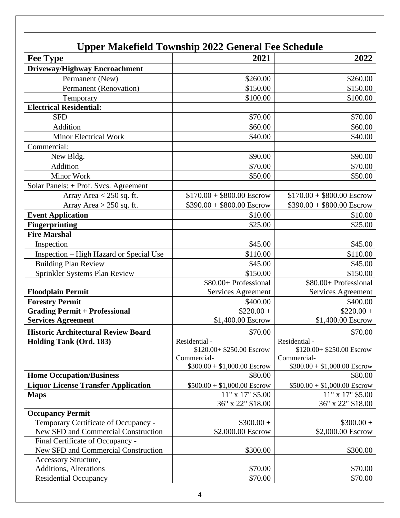|                                                                             | <b>Upper Makefield Township 2022 General Fee Schedule</b> |                                  |
|-----------------------------------------------------------------------------|-----------------------------------------------------------|----------------------------------|
| <b>Fee Type</b>                                                             | 2021                                                      | 2022                             |
| <b>Driveway/Highway Encroachment</b>                                        |                                                           |                                  |
| Permanent (New)                                                             | \$260.00                                                  | \$260.00                         |
| Permanent (Renovation)                                                      | \$150.00                                                  | \$150.00                         |
| Temporary                                                                   | \$100.00                                                  | \$100.00                         |
| <b>Electrical Residential:</b>                                              |                                                           |                                  |
| <b>SFD</b>                                                                  | \$70.00                                                   | \$70.00                          |
| Addition                                                                    | \$60.00                                                   | \$60.00                          |
| <b>Minor Electrical Work</b>                                                | \$40.00                                                   | \$40.00                          |
| Commercial:                                                                 |                                                           |                                  |
| New Bldg.                                                                   | \$90.00                                                   | \$90.00                          |
| Addition                                                                    | \$70.00                                                   | \$70.00                          |
| <b>Minor Work</b>                                                           | \$50.00                                                   | \$50.00                          |
| Solar Panels: + Prof. Svcs. Agreement                                       |                                                           |                                  |
| Array Area $\leq$ 250 sq. ft.                                               | $$170.00 + $800.00$ Escrow                                | $$170.00 + $800.00$ Escrow       |
| Array Area $> 250$ sq. ft.                                                  | $$390.00 + $800.00$ Escrow                                | $$390.00 + $800.00$ Escrow       |
| <b>Event Application</b>                                                    | \$10.00                                                   | \$10.00                          |
| <b>Fingerprinting</b>                                                       | \$25.00                                                   | \$25.00                          |
| <b>Fire Marshal</b>                                                         |                                                           |                                  |
| Inspection                                                                  | \$45.00                                                   | \$45.00                          |
| Inspection - High Hazard or Special Use                                     | \$110.00                                                  | \$110.00                         |
| <b>Building Plan Review</b>                                                 | \$45.00                                                   | \$45.00                          |
| Sprinkler Systems Plan Review                                               | \$150.00                                                  | \$150.00                         |
|                                                                             | \$80.00+ Professional                                     | \$80.00+ Professional            |
| <b>Floodplain Permit</b>                                                    | Services Agreement                                        | Services Agreement               |
| <b>Forestry Permit</b>                                                      | \$400.00                                                  | \$400.00                         |
| <b>Grading Permit + Professional</b>                                        | $$220.00+$                                                | $$220.00+$                       |
| <b>Services Agreement</b>                                                   | \$1,400.00 Escrow                                         | \$1,400.00 Escrow                |
| <b>Historic Architectural Review Board</b>                                  | \$70.00                                                   | \$70.00                          |
| Holding Tank (Ord. 183)                                                     | Residential -                                             | Residential -                    |
|                                                                             | $$120.00+ $250.00$ Escrow                                 | $$120.00+ $250.00$ Escrow        |
|                                                                             | Commercial-                                               | Commercial-                      |
|                                                                             | $$300.00 + $1,000.00$ Escrow                              | $$300.00 + $1,000.00$ Escrow     |
| <b>Home Occupation/Business</b>                                             | \$80.00                                                   | \$80.00                          |
| <b>Liquor License Transfer Application</b>                                  | $$500.00 + $1,000.00$ Escrow                              | $$500.00 + $1,000.00$ Escrow     |
| <b>Maps</b>                                                                 | $11"$ x $17"$ \$5.00                                      | $11"$ x 17" \$5.00               |
|                                                                             | 36" x 22" \$18.00                                         | 36" x 22" \$18.00                |
| <b>Occupancy Permit</b>                                                     |                                                           |                                  |
| Temporary Certificate of Occupancy -<br>New SFD and Commercial Construction | $$300.00 +$<br>\$2,000.00 Escrow                          | $$300.00 +$<br>\$2,000.00 Escrow |
| Final Certificate of Occupancy -                                            |                                                           |                                  |
| New SFD and Commercial Construction                                         | \$300.00                                                  | \$300.00                         |
|                                                                             |                                                           |                                  |

Additions, Alterations  $$70.00$  \$70.00 Residential Occupancy<br>
Residential Occupancy<br>
Residential Occupancy<br>
S70.00 \$70.00 \$70.00 \$70.00

Accessory Structure,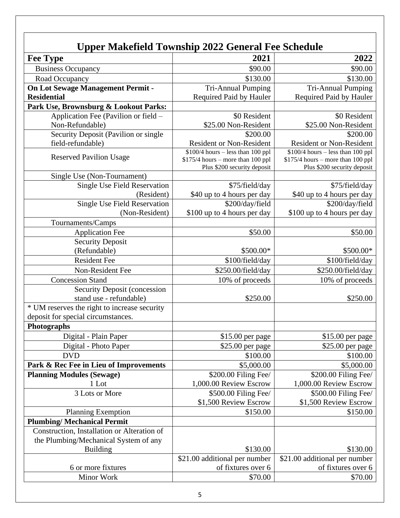## **Upper Makefield Township 2022 General Fee Schedule**

| <b>Fee Type</b>                              | 2021                                                              | 2022                                                              |
|----------------------------------------------|-------------------------------------------------------------------|-------------------------------------------------------------------|
| <b>Business Occupancy</b>                    | \$90.00                                                           | \$90.00                                                           |
| Road Occupancy                               | \$130.00                                                          | \$130.00                                                          |
| On Lot Sewage Management Permit -            | <b>Tri-Annual Pumping</b>                                         | <b>Tri-Annual Pumping</b>                                         |
| <b>Residential</b>                           | Required Paid by Hauler                                           | Required Paid by Hauler                                           |
| Park Use, Brownsburg & Lookout Parks:        |                                                                   |                                                                   |
| Application Fee (Pavilion or field –         | \$0 Resident                                                      | \$0 Resident                                                      |
| Non-Refundable)                              | \$25.00 Non-Resident                                              | \$25.00 Non-Resident                                              |
| Security Deposit (Pavilion or single         | \$200.00                                                          | \$200.00                                                          |
| field-refundable)                            | <b>Resident or Non-Resident</b>                                   | <b>Resident or Non-Resident</b>                                   |
| <b>Reserved Pavilion Usage</b>               | $$100/4$ hours - less than 100 ppl                                | $$100/4$ hours - less than 100 ppl                                |
|                                              | $$175/4$ hours – more than 100 ppl<br>Plus \$200 security deposit | $$175/4$ hours – more than 100 ppl<br>Plus \$200 security deposit |
| Single Use (Non-Tournament)                  |                                                                   |                                                                   |
| Single Use Field Reservation                 | \$75/field/day                                                    | \$75/field/day                                                    |
| (Resident)                                   | \$40 up to 4 hours per day                                        | \$40 up to 4 hours per day                                        |
| <b>Single Use Field Reservation</b>          | \$200/day/field                                                   | \$200/day/field                                                   |
| (Non-Resident)                               | \$100 up to 4 hours per day                                       | \$100 up to 4 hours per day                                       |
| Tournaments/Camps                            |                                                                   |                                                                   |
| <b>Application Fee</b>                       | \$50.00                                                           | \$50.00                                                           |
| <b>Security Deposit</b>                      |                                                                   |                                                                   |
| (Refundable)                                 | \$500.00*                                                         | \$500.00*                                                         |
| <b>Resident Fee</b>                          | \$100/field/day                                                   | \$100/field/day                                                   |
| Non-Resident Fee                             | \$250.00/field/day                                                | \$250.00/field/day                                                |
| <b>Concession Stand</b>                      | 10% of proceeds                                                   | 10% of proceeds                                                   |
| <b>Security Deposit (concession</b>          |                                                                   |                                                                   |
| stand use - refundable)                      | \$250.00                                                          | \$250.00                                                          |
| * UM reserves the right to increase security |                                                                   |                                                                   |
| deposit for special circumstances.           |                                                                   |                                                                   |
| Photographs                                  |                                                                   |                                                                   |
| Digital - Plain Paper                        | \$15.00 per page                                                  | \$15.00 per page                                                  |
| Digital - Photo Paper                        | \$25.00 per page                                                  | \$25.00 per page                                                  |
| <b>DVD</b>                                   | \$100.00                                                          | \$100.00                                                          |
| Park & Rec Fee in Lieu of Improvements       | \$5,000.00                                                        | \$5,000.00                                                        |
| <b>Planning Modules (Sewage)</b>             | \$200.00 Filing Fee/                                              | \$200.00 Filing Fee/                                              |
| 1 Lot                                        | 1,000.00 Review Escrow                                            | 1,000.00 Review Escrow                                            |
| 3 Lots or More                               | \$500.00 Filing Fee/                                              | \$500.00 Filing Fee/                                              |
|                                              | \$1,500 Review Escrow                                             | \$1,500 Review Escrow                                             |
| <b>Planning Exemption</b>                    | \$150.00                                                          | \$150.00                                                          |
| <b>Plumbing/Mechanical Permit</b>            |                                                                   |                                                                   |
| Construction, Installation or Alteration of  |                                                                   |                                                                   |
| the Plumbing/Mechanical System of any        |                                                                   |                                                                   |
| <b>Building</b>                              | \$130.00                                                          | \$130.00                                                          |
|                                              | \$21.00 additional per number                                     | \$21.00 additional per number                                     |
| 6 or more fixtures                           | of fixtures over 6                                                | of fixtures over 6                                                |
| Minor Work                                   | \$70.00                                                           | \$70.00                                                           |
|                                              |                                                                   |                                                                   |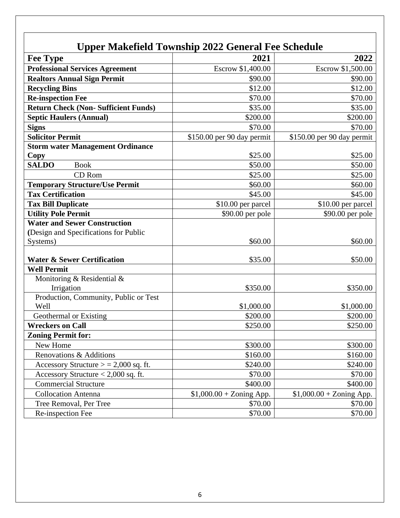| <b>Upper Makefield Township 2022 General Fee Schedule</b> |                            |                            |  |
|-----------------------------------------------------------|----------------------------|----------------------------|--|
| <b>Fee Type</b>                                           | 2021                       | 2022                       |  |
| <b>Professional Services Agreement</b>                    | Escrow \$1,400.00          | Escrow \$1,500.00          |  |
| <b>Realtors Annual Sign Permit</b>                        | \$90.00                    | \$90.00                    |  |
| <b>Recycling Bins</b>                                     | \$12.00                    | \$12.00                    |  |
| <b>Re-inspection Fee</b>                                  | \$70.00                    | \$70.00                    |  |
| <b>Return Check (Non-Sufficient Funds)</b>                | \$35.00                    | \$35.00                    |  |
| <b>Septic Haulers (Annual)</b>                            | \$200.00                   | \$200.00                   |  |
| <b>Signs</b>                                              | \$70.00                    | \$70.00                    |  |
| <b>Solicitor Permit</b>                                   | \$150.00 per 90 day permit | \$150.00 per 90 day permit |  |
| <b>Storm water Management Ordinance</b>                   |                            |                            |  |
| Copy                                                      | \$25.00                    | \$25.00                    |  |
| <b>SALDO</b><br><b>Book</b>                               | \$50.00                    | \$50.00                    |  |
| CD Rom                                                    | \$25.00                    | \$25.00                    |  |
| <b>Temporary Structure/Use Permit</b>                     | \$60.00                    | \$60.00                    |  |
| <b>Tax Certification</b>                                  | \$45.00                    | \$45.00                    |  |
| <b>Tax Bill Duplicate</b>                                 | \$10.00 per parcel         | \$10.00 per parcel         |  |
| <b>Utility Pole Permit</b>                                | \$90.00 per pole           | \$90.00 per pole           |  |
| <b>Water and Sewer Construction</b>                       |                            |                            |  |
| (Design and Specifications for Public                     |                            |                            |  |
| Systems)                                                  | \$60.00                    | \$60.00                    |  |
| <b>Water &amp; Sewer Certification</b>                    | \$35.00                    | \$50.00                    |  |
| <b>Well Permit</b>                                        |                            |                            |  |
| Monitoring & Residential &                                |                            |                            |  |
| Irrigation                                                | \$350.00                   | \$350.00                   |  |
| Production, Community, Public or Test                     |                            |                            |  |
| Well                                                      | \$1,000.00                 | \$1,000.00                 |  |
| Geothermal or Existing                                    | \$200.00                   | \$200.00                   |  |
| <b>Wreckers on Call</b>                                   | \$250.00                   | \$250.00                   |  |
| <b>Zoning Permit for:</b>                                 |                            |                            |  |
| New Home                                                  | \$300.00                   | \$300.00                   |  |
| Renovations & Additions                                   | \$160.00                   | \$160.00                   |  |
| Accessory Structure $>$ = 2,000 sq. ft.                   | \$240.00                   | \$240.00                   |  |
| Accessory Structure < 2,000 sq. ft.                       | \$70.00                    | \$70.00                    |  |
| <b>Commercial Structure</b>                               | \$400.00                   | \$400.00                   |  |
| <b>Collocation Antenna</b>                                | $$1,000.00 + Zoning App.$  | $$1,000.00 + Zoning App.$  |  |
| Tree Removal, Per Tree                                    | \$70.00                    | \$70.00                    |  |
| Re-inspection Fee                                         | \$70.00                    | \$70.00                    |  |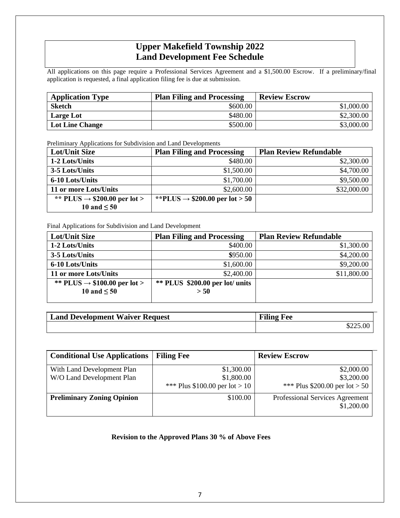### **Upper Makefield Township 2022 Land Development Fee Schedule**

All applications on this page require a Professional Services Agreement and a \$1,500.00 Escrow. If a preliminary/final application is requested, a final application filing fee is due at submission.

| <b>Application Type</b> | <b>Plan Filing and Processing</b> | <b>Review Escrow</b> |
|-------------------------|-----------------------------------|----------------------|
| <b>Sketch</b>           | \$600.00                          | \$1,000.00           |
| Large Lot               | \$480.00                          | \$2,300.00           |
| <b>Lot Line Change</b>  | \$500.00                          | \$3,000.00           |

Preliminary Applications for Subdivision and Land Developments

| Lot/Unit Size                            | <b>Plan Filing and Processing</b>          | <b>Plan Review Refundable</b> |
|------------------------------------------|--------------------------------------------|-------------------------------|
| 1-2 Lots/Units                           | \$480.00                                   | \$2,300.00                    |
| 3-5 Lots/Units                           | \$1,500.00                                 | \$4,700.00                    |
| 6-10 Lots/Units                          | \$1,700.00                                 | \$9,500.00                    |
| 11 or more Lots/Units                    | \$2,600.00                                 | \$32,000.00                   |
| ** PLUS $\rightarrow$ \$200.00 per lot > | **PLUS $\rightarrow$ \$200.00 per lot > 50 |                               |
| 10 and $\leq 50$                         |                                            |                               |

Final Applications for Subdivision and Land Development

| Lot/Unit Size                            | <b>Plan Filing and Processing</b> | <b>Plan Review Refundable</b> |
|------------------------------------------|-----------------------------------|-------------------------------|
| 1-2 Lots/Units                           | \$400.00                          | \$1,300.00                    |
| 3-5 Lots/Units                           | \$950.00                          | \$4,200.00                    |
| 6-10 Lots/Units                          | \$1,600.00                        | \$9,200.00                    |
| 11 or more Lots/Units                    | \$2,400.00                        | \$11,800.00                   |
| ** PLUS $\rightarrow$ \$100.00 per lot > | $**$ PLUS \$200.00 per lot/units  |                               |
| 10 and $\leq 50$                         | > 50                              |                               |
|                                          |                                   |                               |

| <b>Land Development Waiver Request</b> | <b>Filing Fee</b> |
|----------------------------------------|-------------------|
|                                        | \$225.00          |

| <b>Conditional Use Applications</b>                     | <b>Filing Fee</b>                          | <b>Review Escrow</b>                                                            |
|---------------------------------------------------------|--------------------------------------------|---------------------------------------------------------------------------------|
| With Land Development Plan<br>W/O Land Development Plan | \$1,300.00<br>\$1,800.00                   | \$2,000.00<br>\$3,200.00                                                        |
| <b>Preliminary Zoning Opinion</b>                       | *** Plus \$100.00 per lot > 10<br>\$100.00 | *** Plus \$200.00 per lot > 50<br>Professional Services Agreement<br>\$1,200.00 |

#### **Revision to the Approved Plans 30 % of Above Fees**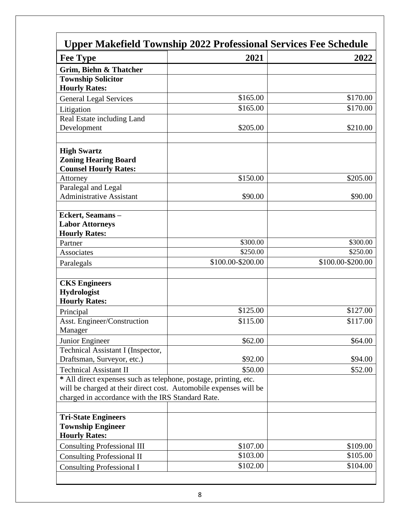| <b>Upper Makefield Township 2022 Professional Services Fee Schedule</b> |                      |                      |  |
|-------------------------------------------------------------------------|----------------------|----------------------|--|
| <b>Fee Type</b>                                                         | 2021                 | 2022                 |  |
| Grim, Biehn & Thatcher                                                  |                      |                      |  |
| <b>Township Solicitor</b>                                               |                      |                      |  |
| <b>Hourly Rates:</b>                                                    |                      |                      |  |
| <b>General Legal Services</b>                                           | \$165.00             | \$170.00             |  |
| Litigation                                                              | \$165.00             | \$170.00             |  |
| Real Estate including Land                                              |                      |                      |  |
| Development                                                             | \$205.00             | \$210.00             |  |
|                                                                         |                      |                      |  |
| <b>High Swartz</b>                                                      |                      |                      |  |
| <b>Zoning Hearing Board</b>                                             |                      |                      |  |
| <b>Counsel Hourly Rates:</b>                                            |                      |                      |  |
| Attorney                                                                | \$150.00             | \$205.00             |  |
| Paralegal and Legal                                                     |                      |                      |  |
| <b>Administrative Assistant</b>                                         | \$90.00              | \$90.00              |  |
|                                                                         |                      |                      |  |
| Eckert, Seamans-                                                        |                      |                      |  |
| <b>Labor Attorneys</b><br><b>Hourly Rates:</b>                          |                      |                      |  |
| Partner                                                                 | \$300.00             | \$300.00             |  |
| Associates                                                              | \$250.00             | \$250.00             |  |
| Paralegals                                                              | \$100.00-\$200.00    | \$100.00-\$200.00    |  |
|                                                                         |                      |                      |  |
| <b>CKS Engineers</b>                                                    |                      |                      |  |
| <b>Hydrologist</b>                                                      |                      |                      |  |
| <b>Hourly Rates:</b>                                                    |                      |                      |  |
| Principal                                                               | \$125.00             | \$127.00             |  |
| Asst. Engineer/Construction                                             | \$115.00             | \$117.00             |  |
| Manager                                                                 |                      |                      |  |
| Junior Engineer                                                         | \$62.00              | \$64.00              |  |
| Technical Assistant I (Inspector,                                       |                      |                      |  |
| Draftsman, Surveyor, etc.)                                              | \$92.00              | \$94.00              |  |
| <b>Technical Assistant II</b>                                           | \$50.00              | \$52.00              |  |
| * All direct expenses such as telephone, postage, printing, etc.        |                      |                      |  |
| will be charged at their direct cost. Automobile expenses will be       |                      |                      |  |
| charged in accordance with the IRS Standard Rate.                       |                      |                      |  |
|                                                                         |                      |                      |  |
| <b>Tri-State Engineers</b>                                              |                      |                      |  |
| <b>Township Engineer</b><br><b>Hourly Rates:</b>                        |                      |                      |  |
|                                                                         |                      |                      |  |
| <b>Consulting Professional III</b>                                      | \$107.00<br>\$103.00 | \$109.00<br>\$105.00 |  |
| <b>Consulting Professional II</b>                                       | \$102.00             | \$104.00             |  |
| <b>Consulting Professional I</b>                                        |                      |                      |  |